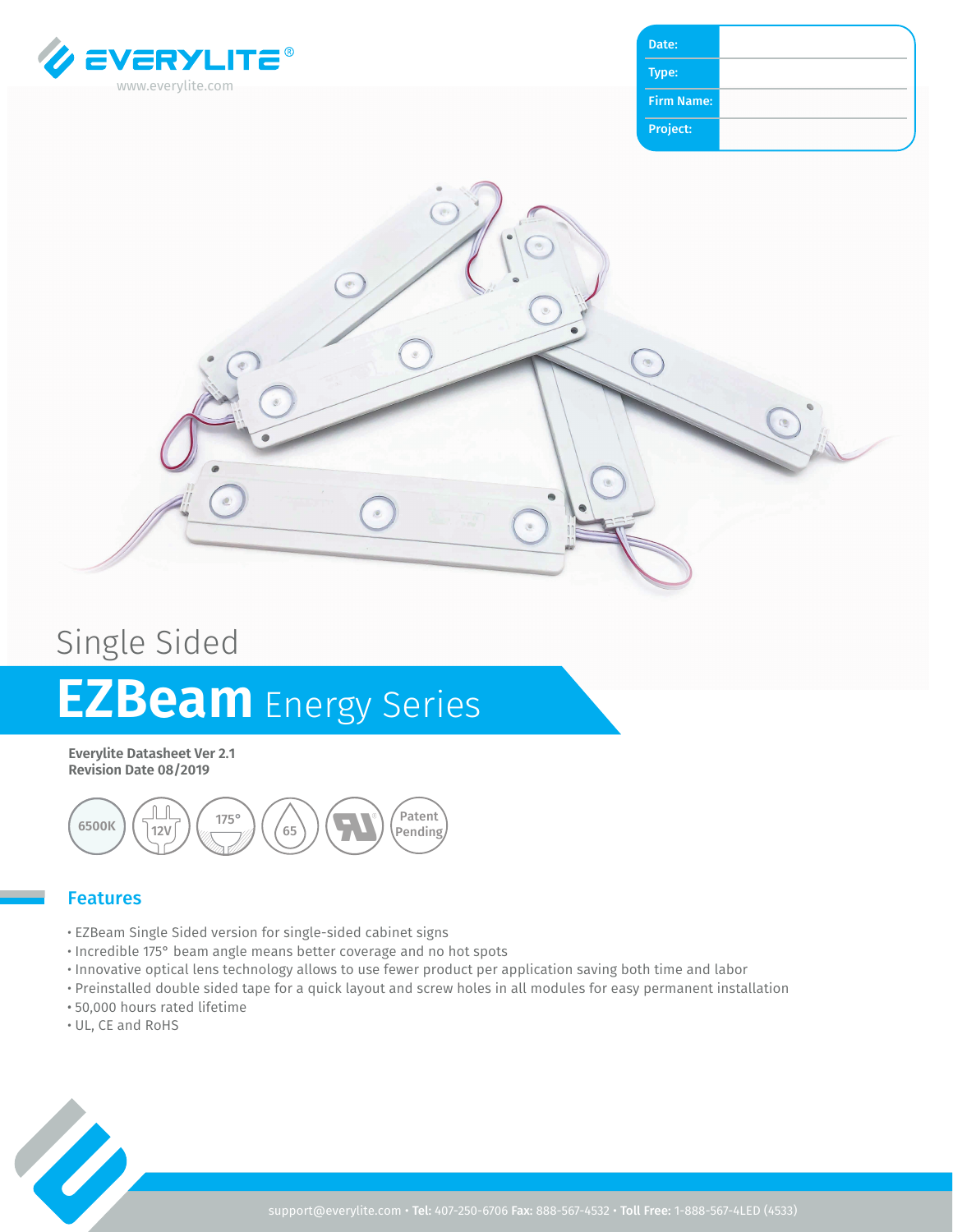

| Date:             |  |
|-------------------|--|
| Type:             |  |
| <b>Firm Name:</b> |  |
| Project:          |  |



# Single Sided **EZBeam** Energy Series

**Everylite Datasheet Ver 2.1 Revision Date 08/2019**



#### Features

- EZBeam Single Sided version for single-sided cabinet signs
- Incredible 175° beam angle means better coverage and no hot spots
- Innovative optical lens technology allows to use fewer product per application saving both time and labor
- Preinstalled double sided tape for a quick layout and screw holes in all modules for easy permanent installation
- 50,000 hours rated lifetime
- UL, CE and RoHS